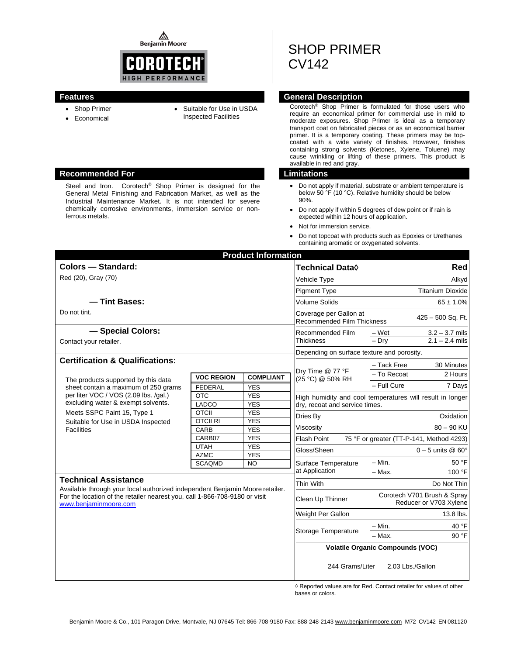⚠ **Benjamin Moore** 



- Shop Primer
- Inspected Facilities
- Economical
- Suitable for Use in USDA

### **Recommended For Limitations**

Steel and Iron. Corotech® Shop Primer is designed for the General Metal Finishing and Fabrication Market, as well as the Industrial Maintenance Market. It is not intended for severe chemically corrosive environments, immersion service or nonferrous metals.

# SHOP PRIMER CV142

# **Features General Description**

Corotech® Shop Primer is formulated for those users who require an economical primer for commercial use in mild to moderate exposures. Shop Primer is ideal as a temporary transport coat on fabricated pieces or as an economical barrier primer. It is a temporary coating. These primers may be topcoated with a wide variety of finishes. However, finishes containing strong solvents (Ketones, Xylene, Toluene) may cause wrinkling or lifting of these primers. This product is available in red and gray.

- Do not apply if material, substrate or ambient temperature is below 50 °F (10 °C). Relative humidity should be below 90%.
- Do not apply if within 5 degrees of dew point or if rain is expected within 12 hours of application.
- Not for immersion service.
- Do not topcoat with products such as Epoxies or Urethanes containing aromatic or oxygenated solvents.

| <b>Product Information</b>                                                                                                                                                          |                                         |                          |                                                                                  |                                                       |                               |  |
|-------------------------------------------------------------------------------------------------------------------------------------------------------------------------------------|-----------------------------------------|--------------------------|----------------------------------------------------------------------------------|-------------------------------------------------------|-------------------------------|--|
| Colors - Standard:                                                                                                                                                                  |                                         |                          | Technical Data <b>◊</b>                                                          | Red                                                   |                               |  |
| Red (20), Gray (70)                                                                                                                                                                 |                                         |                          | Vehicle Type                                                                     | Alkyd                                                 |                               |  |
|                                                                                                                                                                                     |                                         |                          | <b>Pigment Type</b>                                                              | <b>Titanium Dioxide</b>                               |                               |  |
| - Tint Bases:                                                                                                                                                                       |                                         |                          | <b>Volume Solids</b>                                                             | $65 \pm 1.0\%$                                        |                               |  |
| Do not tint.                                                                                                                                                                        |                                         |                          | Coverage per Gallon at<br>425 - 500 Sq. Ft.<br><b>Recommended Film Thickness</b> |                                                       |                               |  |
| - Special Colors:                                                                                                                                                                   |                                         |                          | <b>Recommended Film</b><br><b>Thickness</b>                                      | – Wet                                                 | $3.2 - 3.7$ mils              |  |
| Contact your retailer.                                                                                                                                                              |                                         |                          |                                                                                  | $-Dry$                                                | $2.1 - 2.4$ mils              |  |
|                                                                                                                                                                                     |                                         |                          | Depending on surface texture and porosity.                                       |                                                       |                               |  |
| <b>Certification &amp; Qualifications:</b>                                                                                                                                          |                                         |                          |                                                                                  | - Tack Free                                           | 30 Minutes                    |  |
|                                                                                                                                                                                     | <b>VOC REGION</b>                       | <b>COMPLIANT</b>         | Dry Time @ 77 °F<br>(25 °C) @ 50% RH                                             | - To Recoat                                           | 2 Hours                       |  |
| The products supported by this data<br>sheet contain a maximum of 250 grams                                                                                                         | <b>FEDERAL</b>                          | <b>YES</b>               |                                                                                  | - Full Cure                                           | 7 Days                        |  |
| per liter VOC / VOS (2.09 lbs. /qal.)                                                                                                                                               | <b>OTC</b>                              | <b>YES</b>               | High humidity and cool temperatures will result in longer                        |                                                       |                               |  |
| excluding water & exempt solvents.                                                                                                                                                  | LADCO                                   | <b>YES</b>               |                                                                                  | dry, recoat and service times.                        |                               |  |
| Meets SSPC Paint 15, Type 1                                                                                                                                                         | <b>OTCII</b>                            | <b>YES</b>               | Dries By                                                                         |                                                       | Oxidation                     |  |
| Suitable for Use in USDA Inspected                                                                                                                                                  | <b>OTCIL RI</b>                         | <b>YES</b>               | Viscositv                                                                        |                                                       | $80 - 90$ KU                  |  |
| <b>Facilities</b>                                                                                                                                                                   | CARB<br>CARB07                          | <b>YES</b><br><b>YES</b> | <b>Flash Point</b>                                                               | 75 °F or greater (TT-P-141, Method 4293)              |                               |  |
|                                                                                                                                                                                     | <b>UTAH</b>                             | <b>YES</b>               |                                                                                  |                                                       |                               |  |
|                                                                                                                                                                                     | <b>AZMC</b>                             | <b>YES</b>               | Gloss/Sheen                                                                      |                                                       | $0 - 5$ units @ 60 $^{\circ}$ |  |
|                                                                                                                                                                                     | <b>SCAQMD</b>                           | <b>NO</b>                | Surface Temperature                                                              | $- Min.$                                              | 50 °F                         |  |
|                                                                                                                                                                                     |                                         |                          | at Application                                                                   | - Max.                                                | 100 °F                        |  |
| <b>Technical Assistance</b>                                                                                                                                                         |                                         |                          | <b>Thin With</b>                                                                 |                                                       | Do Not Thin                   |  |
| Available through your local authorized independent Benjamin Moore retailer.<br>For the location of the retailer nearest you, call 1-866-708-9180 or visit<br>www.benjaminmoore.com |                                         |                          | Clean Up Thinner                                                                 | Corotech V701 Brush & Spray<br>Reducer or V703 Xylene |                               |  |
|                                                                                                                                                                                     |                                         |                          | Weight Per Gallon                                                                |                                                       | 13.8 lbs.                     |  |
|                                                                                                                                                                                     |                                         |                          | Storage Temperature                                                              | – Min.                                                | 40 °F                         |  |
|                                                                                                                                                                                     |                                         |                          |                                                                                  | $-$ Max.                                              | 90 °F                         |  |
|                                                                                                                                                                                     | <b>Volatile Organic Compounds (VOC)</b> |                          |                                                                                  |                                                       |                               |  |
|                                                                                                                                                                                     |                                         |                          | 244 Grams/Liter                                                                  |                                                       | 2.03 Lbs./Gallon              |  |

◊ Reported values are for Red. Contact retailer for values of other bases or colors.